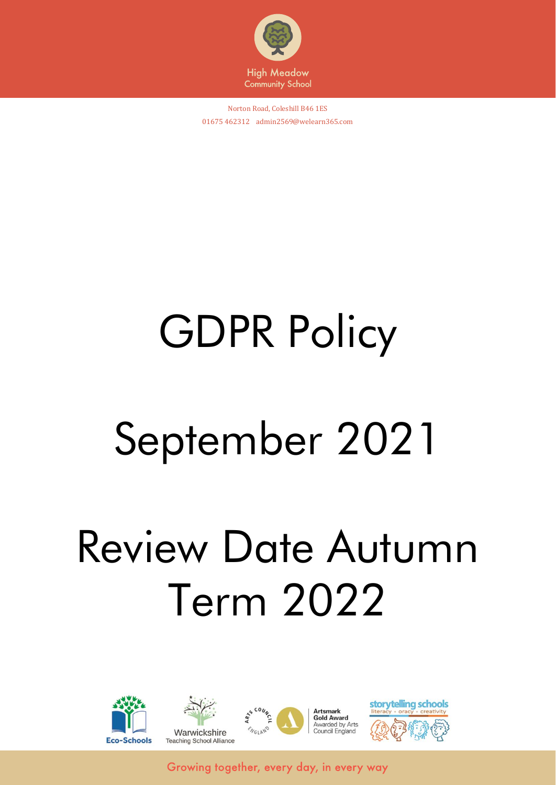

Norton Road, Coleshill B46 1ES 01675 462312 admin2569@welearn365.com

# GDPR Policy

# September 2021

# Review Date Autumn Term 2022

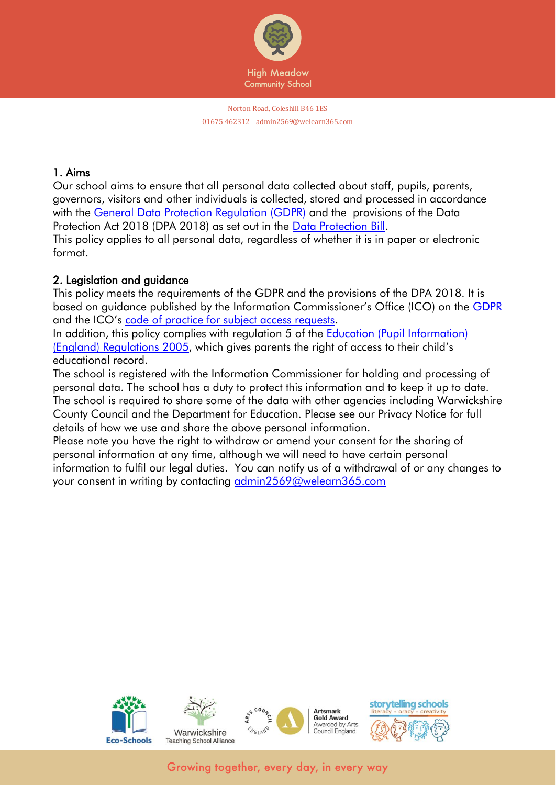

#### 1. Aims

Our school aims to ensure that all personal data collected about staff, pupils, parents, governors, visitors and other individuals is collected, stored and processed in accordance with the [General Data Protection Regulation \(GDPR\)](http://data.consilium.europa.eu/doc/document/ST-5419-2016-INIT/en/pdf) and the provisions of the Data Protection Act 2018 (DPA 2018) as set out in the [Data Protection Bill.](https://publications.parliament.uk/pa/bills/cbill/2017-2019/0153/18153.pdf) This policy applies to all personal data, regardless of whether it is in paper or electronic format.

#### 2. Leaislation and avidance

This policy meets the requirements of the GDPR and the provisions of the DPA 2018. It is based on guidance published by the Information Commissioner's Office (ICO) on the [GDPR](https://ico.org.uk/for-organisations/guide-to-the-general-data-protection-regulation-gdpr/) and the ICO's [code of practice for subject access requests.](https://ico.org.uk/media/for-organisations/documents/2014223/subject-access-code-of-practice.pdf)

In addition, this policy complies with regulation 5 of the Education (Pupil Information) [\(England\) Regulations 2005](http://www.legislation.gov.uk/uksi/2005/1437/regulation/5/made), which gives parents the right of access to their child's educational record.

The school is registered with the Information Commissioner for holding and processing of personal data. The school has a duty to protect this information and to keep it up to date. The school is required to share some of the data with other agencies including Warwickshire County Council and the Department for Education. Please see our Privacy Notice for full details of how we use and share the above personal information.

Please note you have the right to withdraw or amend your consent for the sharing of personal information at any time, although we will need to have certain personal information to fulfil our legal duties. You can notify us of a withdrawal of or any changes to your consent in writing by contacting [admin2569@welearn365.com](mailto:admin2569@welearn365.com)

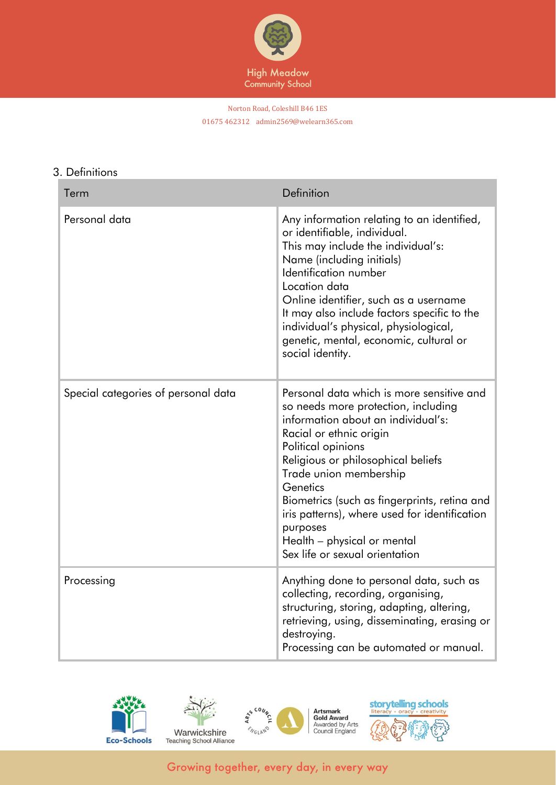

#### Norton Road, Coleshill B46 1ES 01675 462312 admin2569@welearn365.com

#### 3. Definitions

| Term                                | Definition                                                                                                                                                                                                                                                                                                                                                                                                                        |
|-------------------------------------|-----------------------------------------------------------------------------------------------------------------------------------------------------------------------------------------------------------------------------------------------------------------------------------------------------------------------------------------------------------------------------------------------------------------------------------|
| Personal data                       | Any information relating to an identified,<br>or identifiable, individual.<br>This may include the individual's:<br>Name (including initials)<br>Identification number<br>Location data<br>Online identifier, such as a username<br>It may also include factors specific to the<br>individual's physical, physiological,<br>genetic, mental, economic, cultural or<br>social identity.                                            |
| Special categories of personal data | Personal data which is more sensitive and<br>so needs more protection, including<br>information about an individual's:<br>Racial or ethnic origin<br>Political opinions<br>Religious or philosophical beliefs<br>Trade union membership<br>Genetics<br>Biometrics (such as fingerprints, retina and<br>iris patterns), where used for identification<br>purposes<br>Health - physical or mental<br>Sex life or sexual orientation |
| Processing                          | Anything done to personal data, such as<br>collecting, recording, organising,<br>structuring, storing, adapting, altering,<br>retrieving, using, disseminating, erasing or<br>destroying.<br>Processing can be automated or manual.                                                                                                                                                                                               |







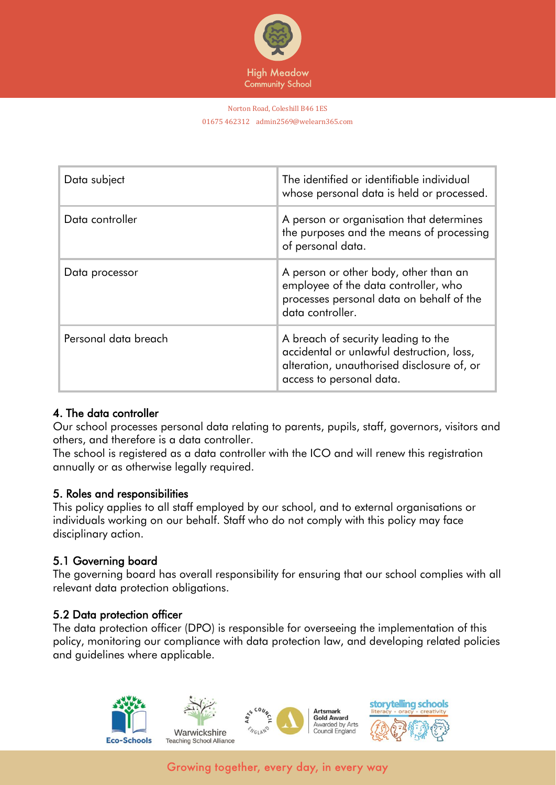

#### Norton Road, Coleshill B46 1ES 01675 462312 admin2569@welearn365.com

| Data subject         | The identified or identifiable individual<br>whose personal data is held or processed.                                                                     |
|----------------------|------------------------------------------------------------------------------------------------------------------------------------------------------------|
| Data controller      | A person or organisation that determines<br>the purposes and the means of processing<br>of personal data.                                                  |
| Data processor       | A person or other body, other than an<br>employee of the data controller, who<br>processes personal data on behalf of the<br>data controller.              |
| Personal data breach | A breach of security leading to the<br>accidental or unlawful destruction, loss,<br>alteration, unauthorised disclosure of, or<br>access to personal data. |

#### 4. The data controller

Our school processes personal data relating to parents, pupils, staff, governors, visitors and others, and therefore is a data controller.

The school is registered as a data controller with the ICO and will renew this registration annually or as otherwise legally required.

#### 5. Roles and responsibilities

This policy applies to all staff employed by our school, and to external organisations or individuals working on our behalf. Staff who do not comply with this policy may face disciplinary action.

#### 5.1 Governing board

The governing board has overall responsibility for ensuring that our school complies with all relevant data protection obligations.

#### 5.2 Data protection officer

The data protection officer (DPO) is responsible for overseeing the implementation of this policy, monitoring our compliance with data protection law, and developing related policies and guidelines where applicable.

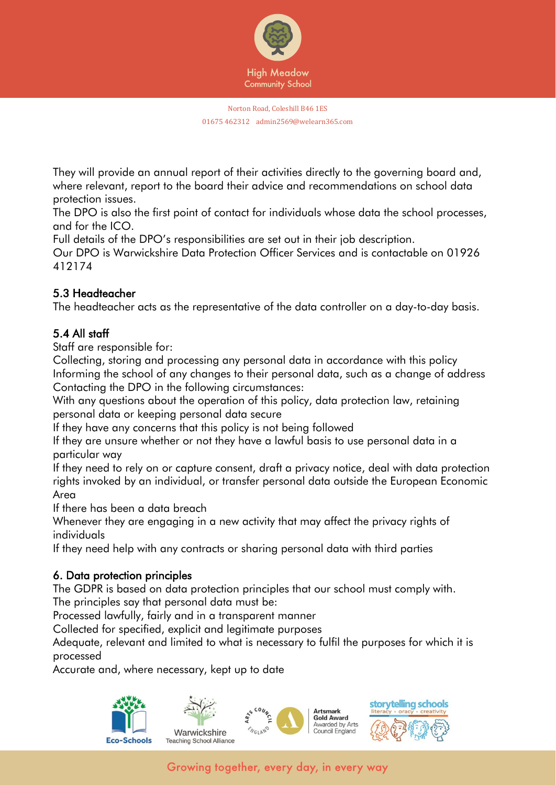

They will provide an annual report of their activities directly to the governing board and, where relevant, report to the board their advice and recommendations on school data protection issues.

The DPO is also the first point of contact for individuals whose data the school processes, and for the ICO.

Full details of the DPO's responsibilities are set out in their job description.

Our DPO is Warwickshire Data Protection Officer Services and is contactable on 01926 412174

# 5.3 Headteacher

The headteacher acts as the representative of the data controller on a day-to-day basis.

# 5.4 All staff

Staff are responsible for:

Collecting, storing and processing any personal data in accordance with this policy Informing the school of any changes to their personal data, such as a change of address Contacting the DPO in the following circumstances:

With any questions about the operation of this policy, data protection law, retaining personal data or keeping personal data secure

If they have any concerns that this policy is not being followed

If they are unsure whether or not they have a lawful basis to use personal data in a particular way

If they need to rely on or capture consent, draft a privacy notice, deal with data protection rights invoked by an individual, or transfer personal data outside the European Economic Area

If there has been a data breach

Whenever they are engaging in a new activity that may affect the privacy rights of individuals

If they need help with any contracts or sharing personal data with third parties

# 6. Data protection principles

The GDPR is based on data protection principles that our school must comply with. The principles say that personal data must be:

Processed lawfully, fairly and in a transparent manner

Collected for specified, explicit and legitimate purposes

Adequate, relevant and limited to what is necessary to fulfil the purposes for which it is processed

Accurate and, where necessary, kept up to date

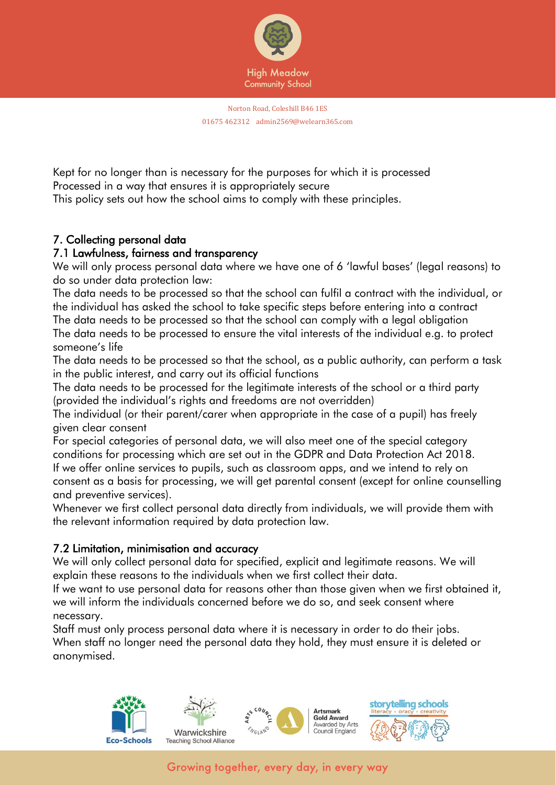

Kept for no longer than is necessary for the purposes for which it is processed Processed in a way that ensures it is appropriately secure This policy sets out how the school aims to comply with these principles.

# 7. Collecting personal data

#### 7.1 Lawfulness, fairness and transparency

We will only process personal data where we have one of 6 'lawful bases' (legal reasons) to do so under data protection law:

The data needs to be processed so that the school can fulfil a contract with the individual, or the individual has asked the school to take specific steps before entering into a contract

The data needs to be processed so that the school can comply with a legal obligation The data needs to be processed to ensure the vital interests of the individual e.g. to protect someone's life

The data needs to be processed so that the school, as a public authority, can perform a task in the public interest, and carry out its official functions

The data needs to be processed for the legitimate interests of the school or a third party (provided the individual's rights and freedoms are not overridden)

The individual (or their parent/carer when appropriate in the case of a pupil) has freely given clear consent

For special categories of personal data, we will also meet one of the special category conditions for processing which are set out in the GDPR and Data Protection Act 2018. If we offer online services to pupils, such as classroom apps, and we intend to rely on consent as a basis for processing, we will get parental consent (except for online counselling and preventive services).

Whenever we first collect personal data directly from individuals, we will provide them with the relevant information required by data protection law.

# 7.2 Limitation, minimisation and accuracy

We will only collect personal data for specified, explicit and legitimate reasons. We will explain these reasons to the individuals when we first collect their data.

If we want to use personal data for reasons other than those given when we first obtained it, we will inform the individuals concerned before we do so, and seek consent where necessary.

Staff must only process personal data where it is necessary in order to do their jobs. When staff no longer need the personal data they hold, they must ensure it is deleted or anonymised.

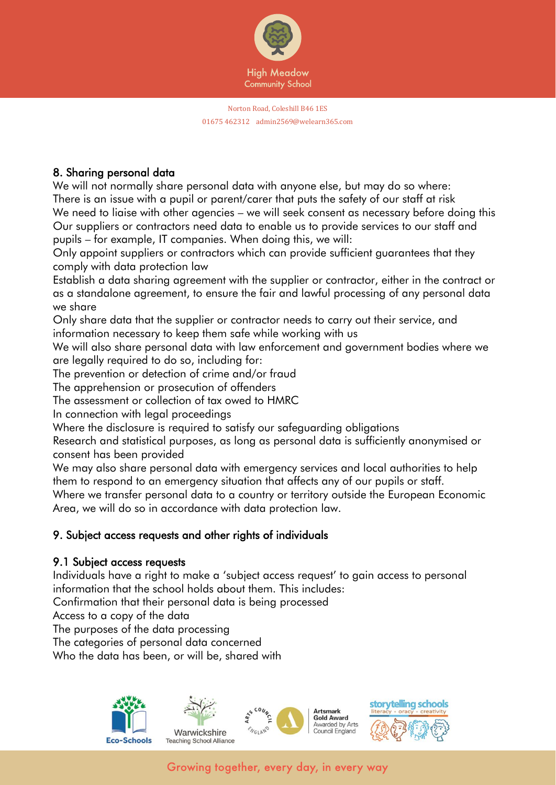

# 8. Sharing personal data

We will not normally share personal data with anyone else, but may do so where: There is an issue with a pupil or parent/carer that puts the safety of our staff at risk We need to liaise with other agencies – we will seek consent as necessary before doing this Our suppliers or contractors need data to enable us to provide services to our staff and pupils – for example, IT companies. When doing this, we will:

Only appoint suppliers or contractors which can provide sufficient guarantees that they comply with data protection law

Establish a data sharing agreement with the supplier or contractor, either in the contract or as a standalone agreement, to ensure the fair and lawful processing of any personal data we share

Only share data that the supplier or contractor needs to carry out their service, and information necessary to keep them safe while working with us

We will also share personal data with law enforcement and government bodies where we are legally required to do so, including for:

The prevention or detection of crime and/or fraud

The apprehension or prosecution of offenders

The assessment or collection of tax owed to HMRC

In connection with legal proceedings

Where the disclosure is required to satisfy our safeguarding obligations

Research and statistical purposes, as long as personal data is sufficiently anonymised or consent has been provided

We may also share personal data with emergency services and local authorities to help them to respond to an emergency situation that affects any of our pupils or staff.

Where we transfer personal data to a country or territory outside the European Economic Area, we will do so in accordance with data protection law.

# 9. Subject access requests and other rights of individuals

# 9.1 Subject access requests

Individuals have a right to make a 'subject access request' to gain access to personal information that the school holds about them. This includes:

Confirmation that their personal data is being processed

Access to a copy of the data

The purposes of the data processing

The categories of personal data concerned

Who the data has been, or will be, shared with

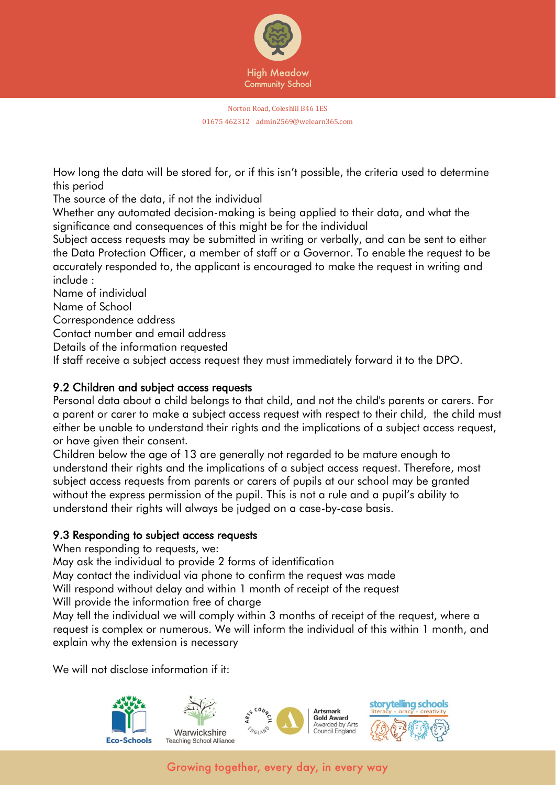

How long the data will be stored for, or if this isn't possible, the criteria used to determine this period

The source of the data, if not the individual

Whether any automated decision-making is being applied to their data, and what the significance and consequences of this might be for the individual

Subject access requests may be submitted in writing or verbally, and can be sent to either the Data Protection Officer, a member of staff or a Governor. To enable the request to be accurately responded to, the applicant is encouraged to make the request in writing and include :

Name of individual

Name of School

Correspondence address

Contact number and email address

Details of the information requested

If staff receive a subject access request they must immediately forward it to the DPO.

# 9.2 Children and subject access requests

Personal data about a child belongs to that child, and not the child's parents or carers. For a parent or carer to make a subject access request with respect to their child, the child must either be unable to understand their rights and the implications of a subject access request, or have given their consent.

Children below the age of 13 are generally not regarded to be mature enough to understand their rights and the implications of a subject access request. Therefore, most subject access requests from parents or carers of pupils at our school may be granted without the express permission of the pupil. This is not a rule and a pupil's ability to understand their rights will always be judged on a case-by-case basis.

# 9.3 Responding to subject access requests

When responding to requests, we:

May ask the individual to provide 2 forms of identification

May contact the individual via phone to confirm the request was made

Will respond without delay and within 1 month of receipt of the request

Will provide the information free of charge

May tell the individual we will comply within 3 months of receipt of the request, where a request is complex or numerous. We will inform the individual of this within 1 month, and explain why the extension is necessary

We will not disclose information if it:

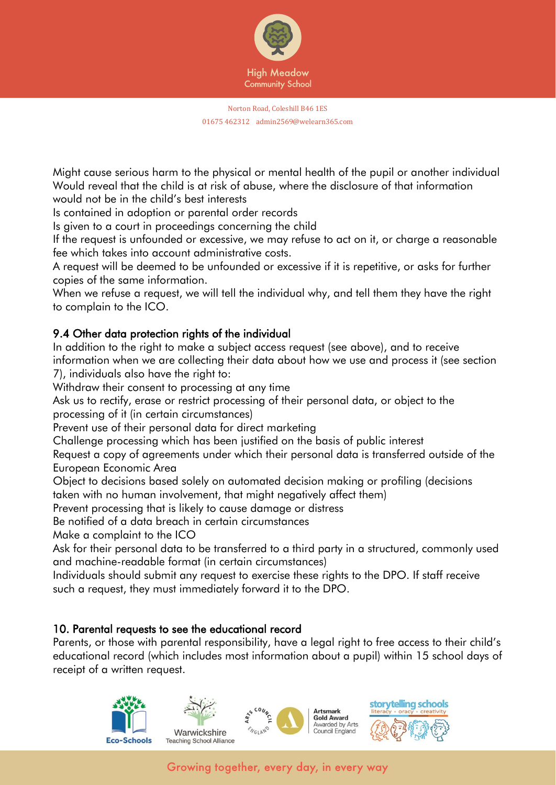

Might cause serious harm to the physical or mental health of the pupil or another individual Would reveal that the child is at risk of abuse, where the disclosure of that information would not be in the child's best interests

Is contained in adoption or parental order records

Is given to a court in proceedings concerning the child

If the request is unfounded or excessive, we may refuse to act on it, or charge a reasonable fee which takes into account administrative costs.

A request will be deemed to be unfounded or excessive if it is repetitive, or asks for further copies of the same information.

When we refuse a request, we will tell the individual why, and tell them they have the right to complain to the ICO.

# 9.4 Other data protection rights of the individual

In addition to the right to make a subject access request (see above), and to receive information when we are collecting their data about how we use and process it (see section 7), individuals also have the right to:

Withdraw their consent to processing at any time

Ask us to rectify, erase or restrict processing of their personal data, or object to the processing of it (in certain circumstances)

Prevent use of their personal data for direct marketing

Challenge processing which has been justified on the basis of public interest

Request a copy of agreements under which their personal data is transferred outside of the European Economic Area

Object to decisions based solely on automated decision making or profiling (decisions taken with no human involvement, that might negatively affect them)

Prevent processing that is likely to cause damage or distress

Be notified of a data breach in certain circumstances

Make a complaint to the ICO

Ask for their personal data to be transferred to a third party in a structured, commonly used and machine-readable format (in certain circumstances)

Individuals should submit any request to exercise these rights to the DPO. If staff receive such a request, they must immediately forward it to the DPO.

#### 10. Parental requests to see the educational record

Parents, or those with parental responsibility, have a legal right to free access to their child's educational record (which includes most information about a pupil) within 15 school days of receipt of a written request.

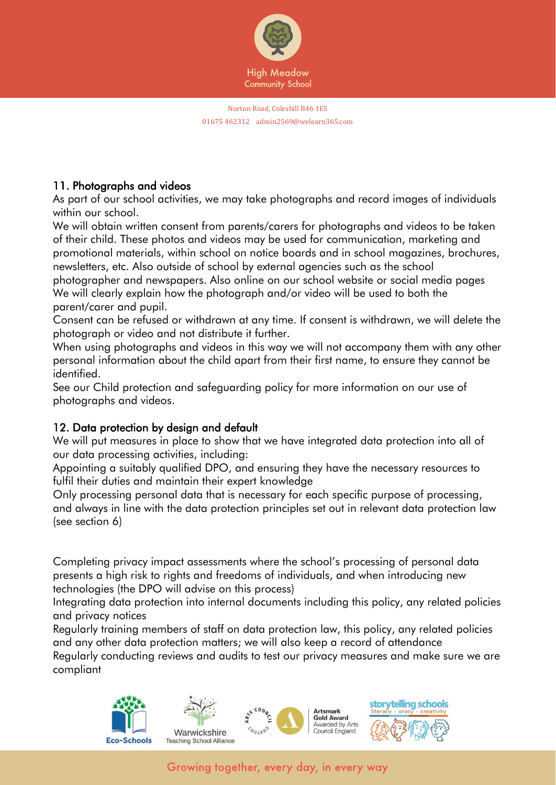

# 11. Photographs and videos

As part of our school activities, we may take photographs and record images of individuals within our school.

We will obtain written consent from parents/carers for photographs and videos to be taken of their child. These photos and videos may be used for communication, marketing and promotional materials, within school on notice boards and in school magazines, brochures, newsletters, etc. Also outside of school by external agencies such as the school

photographer and newspapers. Also online on our school website or social media pages We will clearly explain how the photograph and/or video will be used to both the parent/carer and pupil.

Consent can be refused or withdrawn at any time. If consent is withdrawn, we will delete the photograph or video and not distribute it further.

When using photographs and videos in this way we will not accompany them with any other personal information about the child apart from their first name, to ensure they cannot be identified.

See our Child protection and safeguarding policy for more information on our use of photographs and videos.

# 12. Data protection by design and default

We will put measures in place to show that we have integrated data protection into all of our data processing activities, including:

Appointing a suitably qualified DPO, and ensuring they have the necessary resources to fulfil their duties and maintain their expert knowledge

Only processing personal data that is necessary for each specific purpose of processing, and always in line with the data protection principles set out in relevant data protection law (see section 6)

Completing privacy impact assessments where the school's processing of personal data presents a high risk to rights and freedoms of individuals, and when introducing new technologies (the DPO will advise on this process)

Integrating data protection into internal documents including this policy, any related policies and privacy notices

Regularly training members of staff on data protection law, this policy, any related policies and any other data protection matters; we will also keep a record of attendance Regularly conducting reviews and audits to test our privacy measures and make sure we are compliant







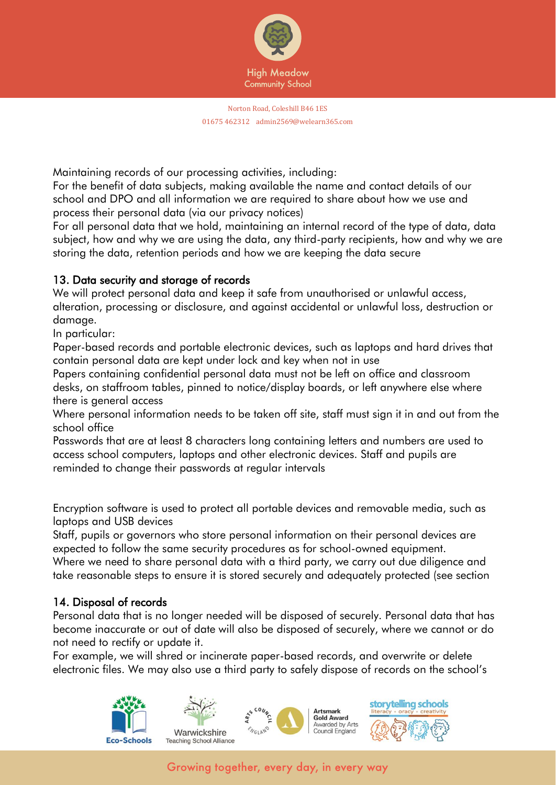

Maintaining records of our processing activities, including:

For the benefit of data subjects, making available the name and contact details of our school and DPO and all information we are required to share about how we use and process their personal data (via our privacy notices)

For all personal data that we hold, maintaining an internal record of the type of data, data subject, how and why we are using the data, any third-party recipients, how and why we are storing the data, retention periods and how we are keeping the data secure

#### 13. Data security and storage of records

We will protect personal data and keep it safe from unauthorised or unlawful access, alteration, processing or disclosure, and against accidental or unlawful loss, destruction or damage.

In particular:

Paper-based records and portable electronic devices, such as laptops and hard drives that contain personal data are kept under lock and key when not in use

Papers containing confidential personal data must not be left on office and classroom desks, on staffroom tables, pinned to notice/display boards, or left anywhere else where there is general access

Where personal information needs to be taken off site, staff must sign it in and out from the school office

Passwords that are at least 8 characters long containing letters and numbers are used to access school computers, laptops and other electronic devices. Staff and pupils are reminded to change their passwords at regular intervals

Encryption software is used to protect all portable devices and removable media, such as laptops and USB devices

Staff, pupils or governors who store personal information on their personal devices are expected to follow the same security procedures as for school-owned equipment.

Where we need to share personal data with a third party, we carry out due diligence and take reasonable steps to ensure it is stored securely and adequately protected (see section

#### 14. Disposal of records

Personal data that is no longer needed will be disposed of securely. Personal data that has become inaccurate or out of date will also be disposed of securely, where we cannot or do not need to rectify or update it.

For example, we will shred or incinerate paper-based records, and overwrite or delete electronic files. We may also use a third party to safely dispose of records on the school's

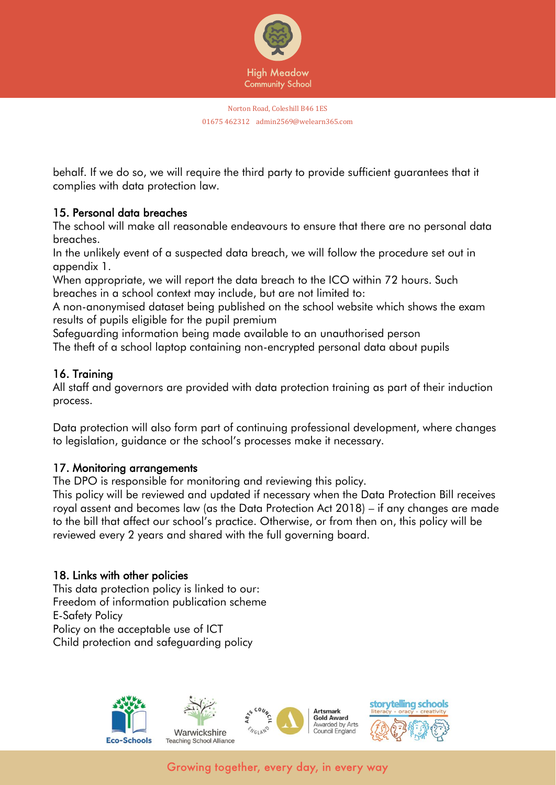

behalf. If we do so, we will require the third party to provide sufficient guarantees that it complies with data protection law.

# 15. Personal data breaches

The school will make all reasonable endeavours to ensure that there are no personal data breaches.

In the unlikely event of a suspected data breach, we will follow the procedure set out in appendix 1.

When appropriate, we will report the data breach to the ICO within 72 hours. Such breaches in a school context may include, but are not limited to:

A non-anonymised dataset being published on the school website which shows the exam results of pupils eligible for the pupil premium

Safeguarding information being made available to an unauthorised person The theft of a school laptop containing non-encrypted personal data about pupils

# 16. Training

All staff and governors are provided with data protection training as part of their induction process.

Data protection will also form part of continuing professional development, where changes to legislation, guidance or the school's processes make it necessary.

#### 17. Monitoring arrangements

The DPO is responsible for monitoring and reviewing this policy.

This policy will be reviewed and updated if necessary when the Data Protection Bill receives royal assent and becomes law (as the Data Protection Act 2018) – if any changes are made to the bill that affect our school's practice. Otherwise, or from then on, this policy will be reviewed every 2 years and shared with the full governing board.

#### 18. Links with other policies

This data protection policy is linked to our: Freedom of information publication scheme E-Safety Policy Policy on the acceptable use of ICT Child protection and safeguarding policy



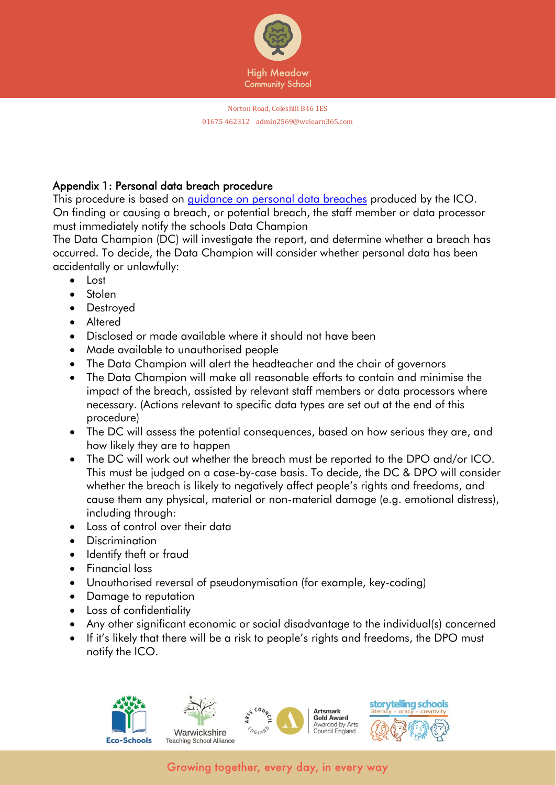

# Appendix 1: Personal data breach procedure

This procedure is based on [guidance on personal data breaches](https://ico.org.uk/for-organisations/guide-to-the-general-data-protection-regulation-gdpr/personal-data-breaches/) produced by the ICO. On finding or causing a breach, or potential breach, the staff member or data processor must immediately notify the schools Data Champion

The Data Champion (DC) will investigate the report, and determine whether a breach has occurred. To decide, the Data Champion will consider whether personal data has been accidentally or unlawfully:

- Lost
- Stolen
- Destroyed
- Altered
- Disclosed or made available where it should not have been
- Made available to unauthorised people
- The Data Champion will alert the headteacher and the chair of governors
- The Data Champion will make all reasonable efforts to contain and minimise the impact of the breach, assisted by relevant staff members or data processors where necessary. (Actions relevant to specific data types are set out at the end of this procedure)
- The DC will assess the potential consequences, based on how serious they are, and how likely they are to happen
- The DC will work out whether the breach must be reported to the DPO and/or ICO. This must be judged on a case-by-case basis. To decide, the DC & DPO will consider whether the breach is likely to negatively affect people's rights and freedoms, and cause them any physical, material or non-material damage (e.g. emotional distress), including through:
- Loss of control over their data
- Discrimination
- Identify theft or fraud
- Financial loss
- Unauthorised reversal of pseudonymisation (for example, key-coding)
- Damage to reputation
- Loss of confidentiality
- Any other significant economic or social disadvantage to the individual(s) concerned
- If it's likely that there will be a risk to people's rights and freedoms, the DPO must notify the ICO.







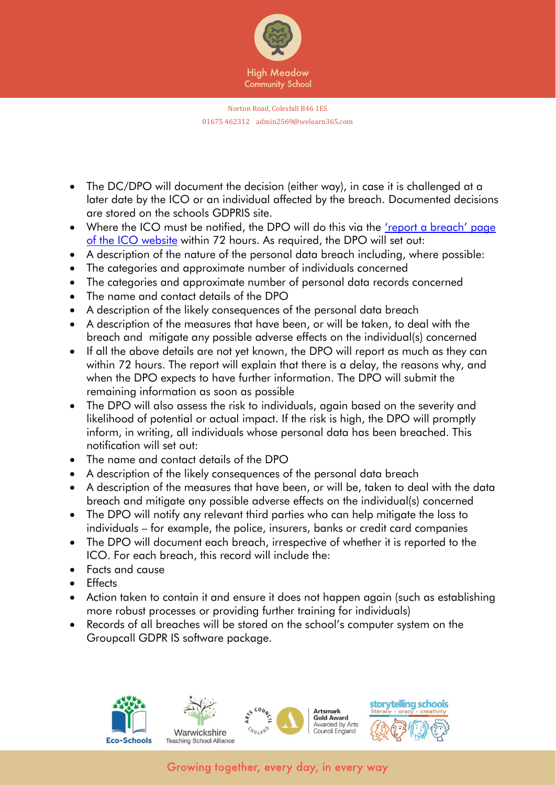

- The DC/DPO will document the decision (either way), in case it is challenged at a later date by the ICO or an individual affected by the breach. Documented decisions are stored on the schools GDPRIS site.
- Where the ICO must be notified, the DPO will do this via the 'report a breach' page [of the ICO website](https://ico.org.uk/for-organisations/report-a-breach/) within 72 hours. As required, the DPO will set out:
- A description of the nature of the personal data breach including, where possible:
- The categories and approximate number of individuals concerned
- The categories and approximate number of personal data records concerned
- The name and contact details of the DPO
- A description of the likely consequences of the personal data breach
- A description of the measures that have been, or will be taken, to deal with the breach and mitigate any possible adverse effects on the individual(s) concerned
- If all the above details are not yet known, the DPO will report as much as they can within 72 hours. The report will explain that there is a delay, the reasons why, and when the DPO expects to have further information. The DPO will submit the remaining information as soon as possible
- The DPO will also assess the risk to individuals, again based on the severity and likelihood of potential or actual impact. If the risk is high, the DPO will promptly inform, in writing, all individuals whose personal data has been breached. This notification will set out:
- The name and contact details of the DPO
- A description of the likely consequences of the personal data breach
- A description of the measures that have been, or will be, taken to deal with the data breach and mitigate any possible adverse effects on the individual(s) concerned
- The DPO will notify any relevant third parties who can help mitigate the loss to individuals – for example, the police, insurers, banks or credit card companies
- The DPO will document each breach, irrespective of whether it is reported to the ICO. For each breach, this record will include the:
- Facts and cause
- **Fffects**
- Action taken to contain it and ensure it does not happen again (such as establishing more robust processes or providing further training for individuals)
- Records of all breaches will be stored on the school's computer system on the Groupcall GDPR IS software package.